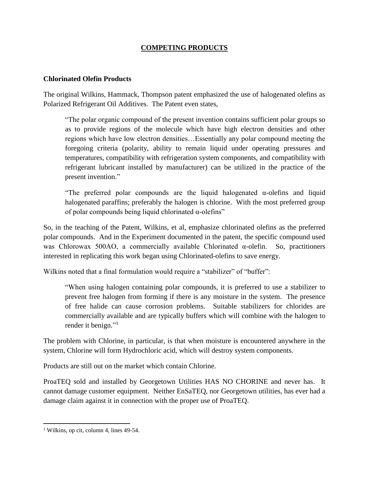## **COMPETING PRODUCTS**

## **Chlorinated Olefin Products**

The original Wilkins, Hammack, Thompson patent emphasized the use of halogenated olefins as Polarized Refrigerant Oil Additives. The Patent even states,

"The polar organic compound of the present invention contains sufficient polar groups so as to provide regions of the molecule which have high electron densities and other regions which have low electron densities…Essentially any polar compound meeting the foregoing criteria (polarity, ability to remain liquid under operating pressures and temperatures, compatibility with refrigeration system components, and compatibility with refrigerant lubricant installed by manufacturer) can be utilized in the practice of the present invention."

"The preferred polar compounds are the liquid halogenated α-olefins and liquid halogenated paraffins; preferably the halogen is chlorine. With the most preferred group of polar compounds being liquid chlorinated α-olefins"

So, in the teaching of the Patent, Wilkins, et al, emphasize chlorinated olefins as the preferred polar compounds. And in the Experiment documented in the patent, the specific compound used was Chlorowax 500AO, a commercially available Chlorinated α-olefin. So, practitioners interested in replicating this work began using Chlorinated-olefins to save energy.

Wilkins noted that a final formulation would require a "stabilizer" of "buffer":

"When using halogen containing polar compounds, it is preferred to use a stabilizer to prevent free halogen from forming if there is any moisture in the system. The presence of free halide can cause corrosion problems. Suitable stabilizers for chlorides are commercially available and are typically buffers which will combine with the halogen to render it benign."<sup>1</sup>

The problem with Chlorine, in particular, is that when moisture is encountered anywhere in the system, Chlorine will form Hydrochloric acid, which will destroy system components.

Products are still out on the market which contain Chlorine.

ProaTEQ sold and installed by Georgetown Utilities HAS NO CHORINE and never has. It cannot damage customer equipment. Neither EnSaTEQ, nor Georgetown utilities, has ever had a damage claim against it in connection with the proper use of ProaTEQ.

 $\overline{a}$ 

<sup>&</sup>lt;sup>1</sup> Wilkins, op cit, column 4, lines 49-54.